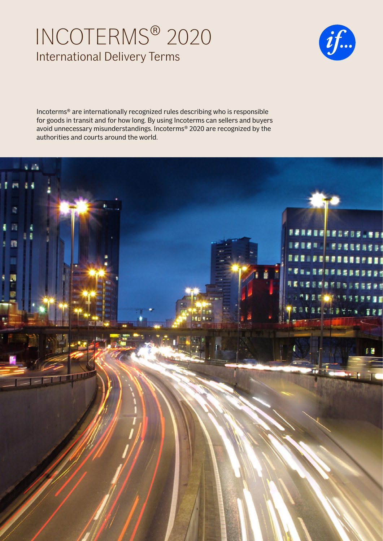# INCOTERMS® 2020 International Delivery Terms



Incoterms® are internationally recognized rules describing who is responsible for goods in transit and for how long. By using Incoterms can sellers and buyers avoid unnecessary misunderstandings. Incoterms® 2020 are recognized by the authorities and courts around the world.

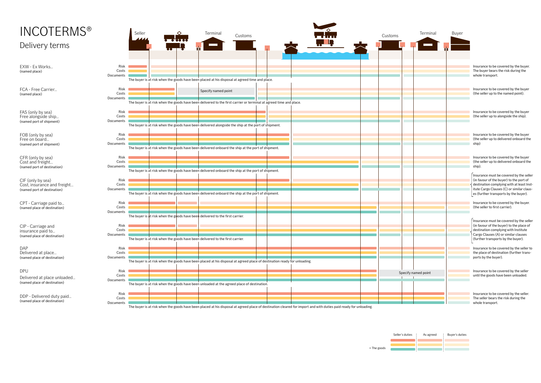| <b>INCOTERMS®</b>                                                               |                            | Seller<br>4444 | $\overline{\phantom{a}}$ | Terminal                                                                      | Customs                                                                                                                 |  |  | Customs | Terminal            | Buyer |                                                                                                                                                                                                                       |
|---------------------------------------------------------------------------------|----------------------------|----------------|--------------------------|-------------------------------------------------------------------------------|-------------------------------------------------------------------------------------------------------------------------|--|--|---------|---------------------|-------|-----------------------------------------------------------------------------------------------------------------------------------------------------------------------------------------------------------------------|
| Delivery terms                                                                  |                            |                |                          |                                                                               |                                                                                                                         |  |  |         |                     |       |                                                                                                                                                                                                                       |
| EXW - Ex Works<br>(named place)                                                 | Risk<br>Costs<br>Documents |                |                          |                                                                               | The buyer is at risk when the goods have been placed at his disposal at agreed time and place.                          |  |  |         |                     |       | Insurance to be covered by the buyer.<br>The buyer bears the risk during the<br>whole transport.                                                                                                                      |
| FCA - Free Carrier<br>(named place)                                             | Risk<br>Costs<br>Documents |                |                          | Specify named point                                                           | The buyer is at risk when the goods have been delivered to the first carrier or terminal at agreed time and place.      |  |  |         |                     |       | Insurance to be covered by the buyer<br>(the seller up to the named point).                                                                                                                                           |
| FAS (only by sea)<br>Free alongside ship<br>(named port of shipment)            | Risk<br>Costs<br>Documents |                |                          |                                                                               | The buyer is at risk when the goods have been delivered alongside the ship at the port of shipment.                     |  |  |         |                     |       | Insurance to be covered by the buyer<br>(the seller up to alongside the ship).                                                                                                                                        |
| FOB (only by sea)<br>Free on board<br>(named port of shipment)                  | Risk<br>Costs<br>Documents |                |                          |                                                                               | The buyer is at risk when the goods have been delivered onboard the ship at the port of shipment.                       |  |  |         |                     |       | Insurance to be covered by the buyer<br>(the seller up to delivered onboard the<br>ship)                                                                                                                              |
| CFR (only by sea)<br>Cost and freight<br>(named port of destination)            | Risk<br>Costs<br>Documents |                |                          |                                                                               | The buyer is at risk when the goods have been delivered onboard the ship at the port of shipment.                       |  |  |         |                     |       | Insurance to be covered by the buyer<br>(the seller up to delivered onboard the<br>ship).                                                                                                                             |
| CIF (only by sea)<br>Cost, insurance and freight<br>(named port of destination) | Risk<br>Costs<br>Documents |                |                          |                                                                               | The buyer is at risk when the goods have been delivered onboard the ship at the port of shipment.                       |  |  |         |                     |       | Insurance must be covered by the seller<br>(in favour of the buyer) to the port of<br>destination complying with at least Inst-<br>itute Cargo Clauses (C) or similar claus-<br>es (further transports by the buyer). |
| CPT - Carriage paid to<br>(named place of destination)                          | Risk<br>Costs<br>Documents |                |                          | The buyer is at risk when the goods have been delivered to the first carrier. |                                                                                                                         |  |  |         |                     |       | Insurance to be covered by the buyer.<br>(the seller to first carrier).                                                                                                                                               |
| CIP - Carriage and<br>insurance paid to<br>(named place of destination)         | Risk<br>Costs<br>Documents |                |                          | The buyer is at risk when the goods have been delivered to the first carrier. |                                                                                                                         |  |  |         |                     |       | Insurance must be covered by the seller<br>(in favour of the buyer) to the place of<br>destination complying with Institute<br>Cargo Clauses (A) or similar clauses<br>(further transports by the buyer).             |
| DAP<br>Delivered at place<br>(named place of destination)                       | Risk<br>Costs<br>Documents |                |                          |                                                                               | The buyer is at risk when the goods have been placed at his disposal at agreed place of destination ready for unloading |  |  |         |                     |       | Insurance to be covered by the seller to<br>the place of destination (further trans-<br>ports by the buyer).                                                                                                          |
| DPU<br>Delivered at place unloaded<br>(named place of destination)              | Risk<br>Costs<br>Documents |                |                          |                                                                               | The buyer is at risk when the goods have been unloaded at the agreed place of destination.                              |  |  |         | Specify named point |       | Insurance to be covered by the seller<br>until the goods have been unloaded.                                                                                                                                          |
| DDP - Delivered duty paid<br>(named place of destination)                       | Risk<br>Costs<br>Documents |                |                          |                                                                               |                                                                                                                         |  |  |         |                     |       | Insurance to be covered by the seller.<br>The seller bears the risk during the<br>whole transport.                                                                                                                    |

The buyer is at risk when the goods have been placed at his disposal at agreed place of destination cleared for import and with duties paid ready for unloading.